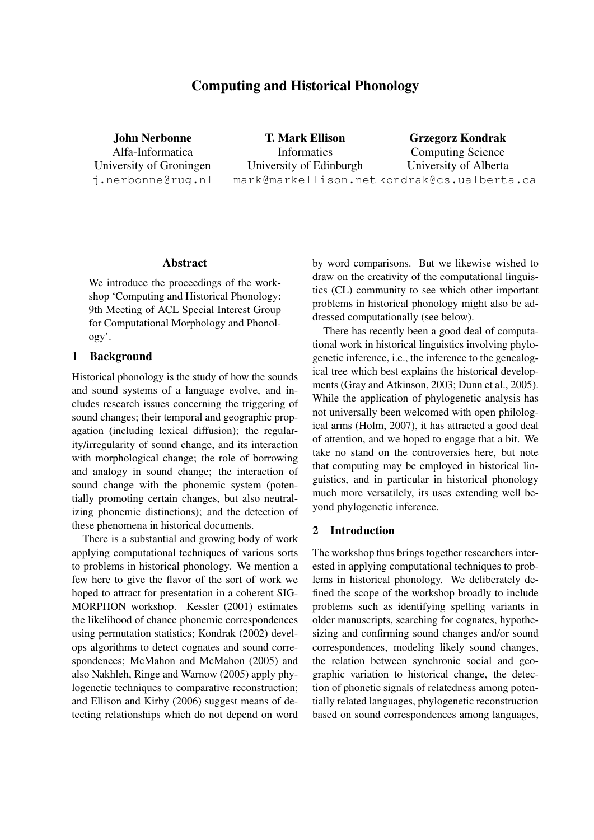# Computing and Historical Phonology

John Nerbonne Alfa-Informatica University of Groningen j.nerbonne@rug.nl

T. Mark Ellison Informatics University of Edinburgh mark@markellison.net kondrak@cs.ualberta.ca Grzegorz Kondrak Computing Science University of Alberta

#### Abstract

We introduce the proceedings of the workshop 'Computing and Historical Phonology: 9th Meeting of ACL Special Interest Group for Computational Morphology and Phonology'.

## 1 Background

Historical phonology is the study of how the sounds and sound systems of a language evolve, and includes research issues concerning the triggering of sound changes; their temporal and geographic propagation (including lexical diffusion); the regularity/irregularity of sound change, and its interaction with morphological change; the role of borrowing and analogy in sound change; the interaction of sound change with the phonemic system (potentially promoting certain changes, but also neutralizing phonemic distinctions); and the detection of these phenomena in historical documents.

There is a substantial and growing body of work applying computational techniques of various sorts to problems in historical phonology. We mention a few here to give the flavor of the sort of work we hoped to attract for presentation in a coherent SIG-MORPHON workshop. Kessler (2001) estimates the likelihood of chance phonemic correspondences using permutation statistics; Kondrak (2002) develops algorithms to detect cognates and sound correspondences; McMahon and McMahon (2005) and also Nakhleh, Ringe and Warnow (2005) apply phylogenetic techniques to comparative reconstruction; and Ellison and Kirby (2006) suggest means of detecting relationships which do not depend on word

by word comparisons. But we likewise wished to draw on the creativity of the computational linguistics (CL) community to see which other important problems in historical phonology might also be addressed computationally (see below).

There has recently been a good deal of computational work in historical linguistics involving phylogenetic inference, i.e., the inference to the genealogical tree which best explains the historical developments (Gray and Atkinson, 2003; Dunn et al., 2005). While the application of phylogenetic analysis has not universally been welcomed with open philological arms (Holm, 2007), it has attracted a good deal of attention, and we hoped to engage that a bit. We take no stand on the controversies here, but note that computing may be employed in historical linguistics, and in particular in historical phonology much more versatilely, its uses extending well beyond phylogenetic inference.

#### 2 Introduction

The workshop thus brings together researchers interested in applying computational techniques to problems in historical phonology. We deliberately defined the scope of the workshop broadly to include problems such as identifying spelling variants in older manuscripts, searching for cognates, hypothesizing and confirming sound changes and/or sound correspondences, modeling likely sound changes, the relation between synchronic social and geographic variation to historical change, the detection of phonetic signals of relatedness among potentially related languages, phylogenetic reconstruction based on sound correspondences among languages,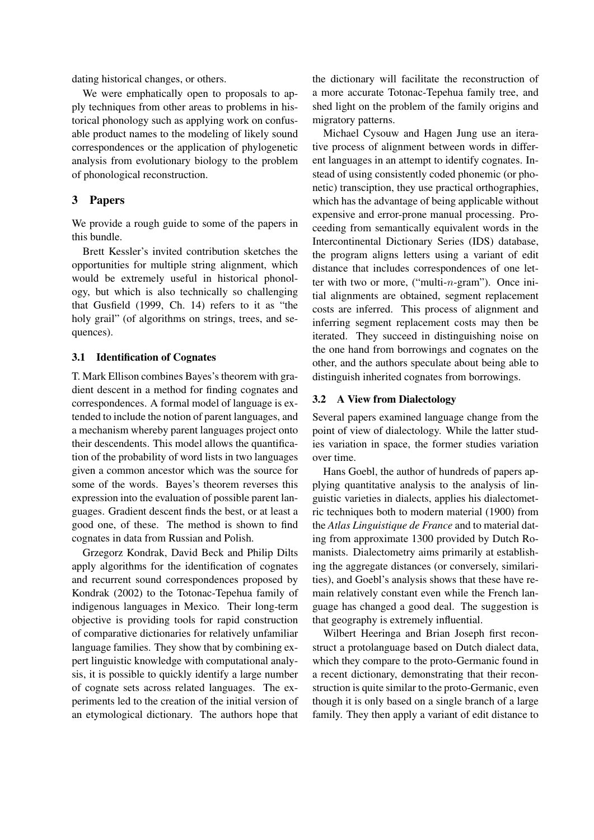dating historical changes, or others.

We were emphatically open to proposals to apply techniques from other areas to problems in historical phonology such as applying work on confusable product names to the modeling of likely sound correspondences or the application of phylogenetic analysis from evolutionary biology to the problem of phonological reconstruction.

## 3 Papers

We provide a rough guide to some of the papers in this bundle.

Brett Kessler's invited contribution sketches the opportunities for multiple string alignment, which would be extremely useful in historical phonology, but which is also technically so challenging that Gusfield (1999, Ch. 14) refers to it as "the holy grail" (of algorithms on strings, trees, and sequences).

#### 3.1 Identification of Cognates

T. Mark Ellison combines Bayes's theorem with gradient descent in a method for finding cognates and correspondences. A formal model of language is extended to include the notion of parent languages, and a mechanism whereby parent languages project onto their descendents. This model allows the quantification of the probability of word lists in two languages given a common ancestor which was the source for some of the words. Bayes's theorem reverses this expression into the evaluation of possible parent languages. Gradient descent finds the best, or at least a good one, of these. The method is shown to find cognates in data from Russian and Polish.

Grzegorz Kondrak, David Beck and Philip Dilts apply algorithms for the identification of cognates and recurrent sound correspondences proposed by Kondrak (2002) to the Totonac-Tepehua family of indigenous languages in Mexico. Their long-term objective is providing tools for rapid construction of comparative dictionaries for relatively unfamiliar language families. They show that by combining expert linguistic knowledge with computational analysis, it is possible to quickly identify a large number of cognate sets across related languages. The experiments led to the creation of the initial version of an etymological dictionary. The authors hope that

the dictionary will facilitate the reconstruction of a more accurate Totonac-Tepehua family tree, and shed light on the problem of the family origins and migratory patterns.

Michael Cysouw and Hagen Jung use an iterative process of alignment between words in different languages in an attempt to identify cognates. Instead of using consistently coded phonemic (or phonetic) transciption, they use practical orthographies, which has the advantage of being applicable without expensive and error-prone manual processing. Proceeding from semantically equivalent words in the Intercontinental Dictionary Series (IDS) database, the program aligns letters using a variant of edit distance that includes correspondences of one letter with two or more, ("multi- $n$ -gram"). Once initial alignments are obtained, segment replacement costs are inferred. This process of alignment and inferring segment replacement costs may then be iterated. They succeed in distinguishing noise on the one hand from borrowings and cognates on the other, and the authors speculate about being able to distinguish inherited cognates from borrowings.

#### 3.2 A View from Dialectology

Several papers examined language change from the point of view of dialectology. While the latter studies variation in space, the former studies variation over time.

Hans Goebl, the author of hundreds of papers applying quantitative analysis to the analysis of linguistic varieties in dialects, applies his dialectometric techniques both to modern material (1900) from the *Atlas Linguistique de France* and to material dating from approximate 1300 provided by Dutch Romanists. Dialectometry aims primarily at establishing the aggregate distances (or conversely, similarities), and Goebl's analysis shows that these have remain relatively constant even while the French language has changed a good deal. The suggestion is that geography is extremely influential.

Wilbert Heeringa and Brian Joseph first reconstruct a protolanguage based on Dutch dialect data, which they compare to the proto-Germanic found in a recent dictionary, demonstrating that their reconstruction is quite similar to the proto-Germanic, even though it is only based on a single branch of a large family. They then apply a variant of edit distance to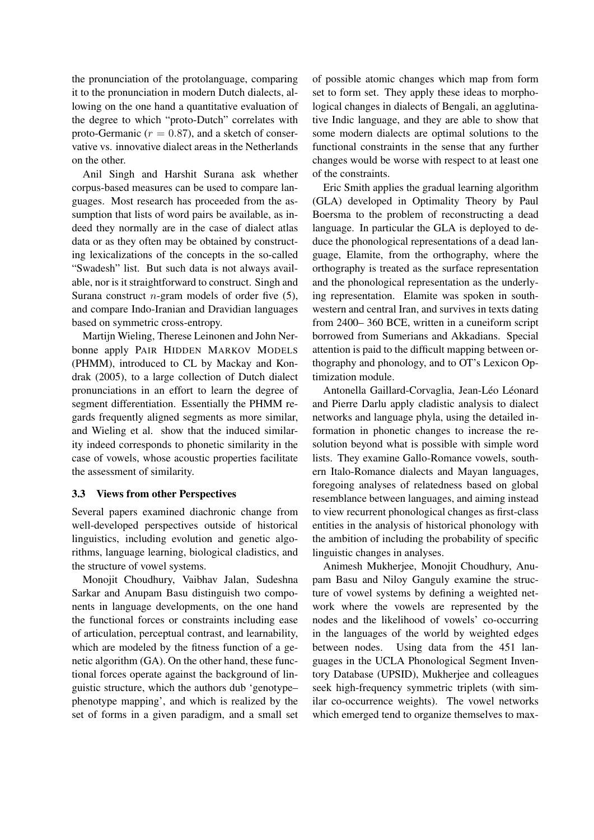the pronunciation of the protolanguage, comparing it to the pronunciation in modern Dutch dialects, allowing on the one hand a quantitative evaluation of the degree to which "proto-Dutch" correlates with proto-Germanic ( $r = 0.87$ ), and a sketch of conservative vs. innovative dialect areas in the Netherlands on the other.

Anil Singh and Harshit Surana ask whether corpus-based measures can be used to compare languages. Most research has proceeded from the assumption that lists of word pairs be available, as indeed they normally are in the case of dialect atlas data or as they often may be obtained by constructing lexicalizations of the concepts in the so-called "Swadesh" list. But such data is not always available, nor is it straightforward to construct. Singh and Surana construct  $n$ -gram models of order five (5), and compare Indo-Iranian and Dravidian languages based on symmetric cross-entropy.

Martijn Wieling, Therese Leinonen and John Nerbonne apply PAIR HIDDEN MARKOV MODELS (PHMM), introduced to CL by Mackay and Kondrak (2005), to a large collection of Dutch dialect pronunciations in an effort to learn the degree of segment differentiation. Essentially the PHMM regards frequently aligned segments as more similar, and Wieling et al. show that the induced similarity indeed corresponds to phonetic similarity in the case of vowels, whose acoustic properties facilitate the assessment of similarity.

#### 3.3 Views from other Perspectives

Several papers examined diachronic change from well-developed perspectives outside of historical linguistics, including evolution and genetic algorithms, language learning, biological cladistics, and the structure of vowel systems.

Monojit Choudhury, Vaibhav Jalan, Sudeshna Sarkar and Anupam Basu distinguish two components in language developments, on the one hand the functional forces or constraints including ease of articulation, perceptual contrast, and learnability, which are modeled by the fitness function of a genetic algorithm (GA). On the other hand, these functional forces operate against the background of linguistic structure, which the authors dub 'genotype– phenotype mapping', and which is realized by the set of forms in a given paradigm, and a small set

of possible atomic changes which map from form set to form set. They apply these ideas to morphological changes in dialects of Bengali, an agglutinative Indic language, and they are able to show that some modern dialects are optimal solutions to the functional constraints in the sense that any further changes would be worse with respect to at least one of the constraints.

Eric Smith applies the gradual learning algorithm (GLA) developed in Optimality Theory by Paul Boersma to the problem of reconstructing a dead language. In particular the GLA is deployed to deduce the phonological representations of a dead language, Elamite, from the orthography, where the orthography is treated as the surface representation and the phonological representation as the underlying representation. Elamite was spoken in southwestern and central Iran, and survives in texts dating from 2400– 360 BCE, written in a cuneiform script borrowed from Sumerians and Akkadians. Special attention is paid to the difficult mapping between orthography and phonology, and to OT's Lexicon Optimization module.

Antonella Gaillard-Corvaglia, Jean-Léo Léonard and Pierre Darlu apply cladistic analysis to dialect networks and language phyla, using the detailed information in phonetic changes to increase the resolution beyond what is possible with simple word lists. They examine Gallo-Romance vowels, southern Italo-Romance dialects and Mayan languages, foregoing analyses of relatedness based on global resemblance between languages, and aiming instead to view recurrent phonological changes as first-class entities in the analysis of historical phonology with the ambition of including the probability of specific linguistic changes in analyses.

Animesh Mukherjee, Monojit Choudhury, Anupam Basu and Niloy Ganguly examine the structure of vowel systems by defining a weighted network where the vowels are represented by the nodes and the likelihood of vowels' co-occurring in the languages of the world by weighted edges between nodes. Using data from the 451 languages in the UCLA Phonological Segment Inventory Database (UPSID), Mukherjee and colleagues seek high-frequency symmetric triplets (with similar co-occurrence weights). The vowel networks which emerged tend to organize themselves to max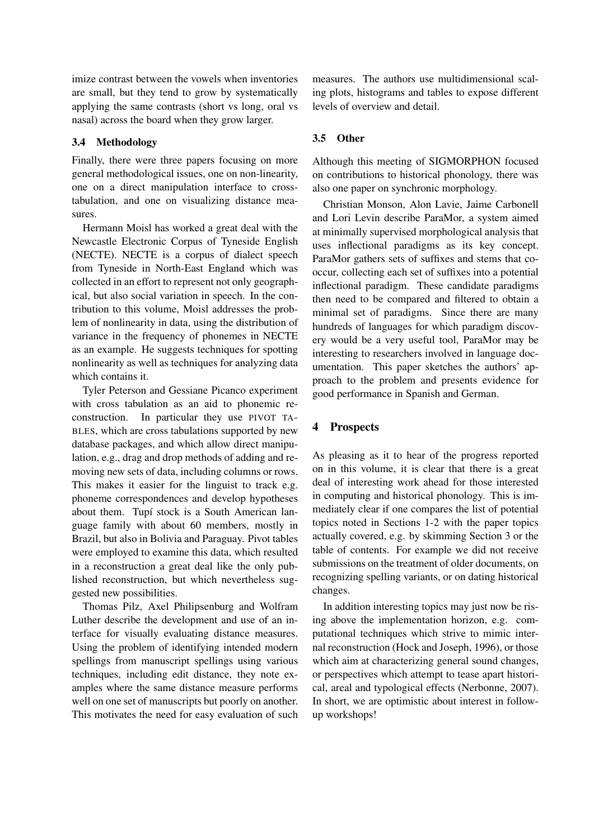imize contrast between the vowels when inventories are small, but they tend to grow by systematically applying the same contrasts (short vs long, oral vs nasal) across the board when they grow larger.

## 3.4 Methodology

Finally, there were three papers focusing on more general methodological issues, one on non-linearity, one on a direct manipulation interface to crosstabulation, and one on visualizing distance measures.

Hermann Moisl has worked a great deal with the Newcastle Electronic Corpus of Tyneside English (NECTE). NECTE is a corpus of dialect speech from Tyneside in North-East England which was collected in an effort to represent not only geographical, but also social variation in speech. In the contribution to this volume, Moisl addresses the problem of nonlinearity in data, using the distribution of variance in the frequency of phonemes in NECTE as an example. He suggests techniques for spotting nonlinearity as well as techniques for analyzing data which contains it.

Tyler Peterson and Gessiane Picanco experiment with cross tabulation as an aid to phonemic reconstruction. In particular they use PIVOT TA-BLES, which are cross tabulations supported by new database packages, and which allow direct manipulation, e.g., drag and drop methods of adding and removing new sets of data, including columns or rows. This makes it easier for the linguist to track e.g. phoneme correspondences and develop hypotheses about them. Tupí stock is a South American language family with about 60 members, mostly in Brazil, but also in Bolivia and Paraguay. Pivot tables were employed to examine this data, which resulted in a reconstruction a great deal like the only published reconstruction, but which nevertheless suggested new possibilities.

Thomas Pilz, Axel Philipsenburg and Wolfram Luther describe the development and use of an interface for visually evaluating distance measures. Using the problem of identifying intended modern spellings from manuscript spellings using various techniques, including edit distance, they note examples where the same distance measure performs well on one set of manuscripts but poorly on another. This motivates the need for easy evaluation of such

measures. The authors use multidimensional scaling plots, histograms and tables to expose different levels of overview and detail.

## 3.5 Other

Although this meeting of SIGMORPHON focused on contributions to historical phonology, there was also one paper on synchronic morphology.

Christian Monson, Alon Lavie, Jaime Carbonell and Lori Levin describe ParaMor, a system aimed at minimally supervised morphological analysis that uses inflectional paradigms as its key concept. ParaMor gathers sets of suffixes and stems that cooccur, collecting each set of suffixes into a potential inflectional paradigm. These candidate paradigms then need to be compared and filtered to obtain a minimal set of paradigms. Since there are many hundreds of languages for which paradigm discovery would be a very useful tool, ParaMor may be interesting to researchers involved in language documentation. This paper sketches the authors' approach to the problem and presents evidence for good performance in Spanish and German.

## 4 Prospects

As pleasing as it to hear of the progress reported on in this volume, it is clear that there is a great deal of interesting work ahead for those interested in computing and historical phonology. This is immediately clear if one compares the list of potential topics noted in Sections 1-2 with the paper topics actually covered, e.g. by skimming Section 3 or the table of contents. For example we did not receive submissions on the treatment of older documents, on recognizing spelling variants, or on dating historical changes.

In addition interesting topics may just now be rising above the implementation horizon, e.g. computational techniques which strive to mimic internal reconstruction (Hock and Joseph, 1996), or those which aim at characterizing general sound changes, or perspectives which attempt to tease apart historical, areal and typological effects (Nerbonne, 2007). In short, we are optimistic about interest in followup workshops!